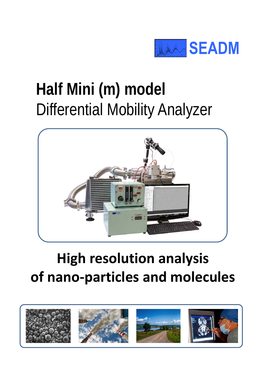

### **Half Mini (m) model**  Differential Mobility Analyzer



### **High resolution analysis of nano-particles and molecules**

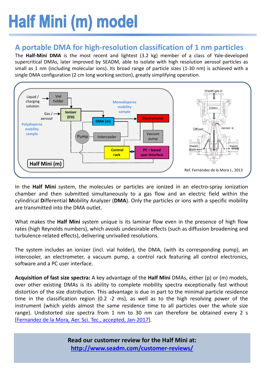## **Half Mini (m) model**

#### **A portable DMA for high-resolution classification of 1 nm particles**

The **Half-Mini DMA** is the most recent and lightest (3.2 kg) member of a class of Yale-developed supercritical DMAs, later improved by SEADM, able to isolate with high resolution aerosol particles as small as 1 nm (including molecular ions). Its broad range of particle sizes (1-30 nm) is achieved with a single DMA configuration (2 cm long working section), greatly simplifying operation.



In the **Half Mini** system, the molecules or particles are ionized in an electro-spray ionization chamber and then submitted simultaneously to a gas flow and an electric field within the cylindrical **D**ifferential **M**obility Analyzer (**DMA**). Only the particles or ions with a specific mobility are transmitted into the DMA outlet.

What makes the **Half Mini** system unique is its laminar flow even in the presence of high flow rates (high Reynolds numbers), which avoids undesirable effects (such as diffusion broadening and turbulence-related effects), delivering unrivalled resolutions.

The system includes an ionizer (incl. vial holder), the DMA, (with its corresponding pump), an intercooler, an electrometer, a vacuum pump, a control rack featuring all control electronics, software and a PC user interface.

**Acquisition of fast size spectra:** A key advantage of the **Half Mini** DMAs, either (p) or (m) models, over other existing DMAs is its ability to complete mobility spectra exceptionally fast without distortion of the size distribution. This advantage is due in part to the minimal particle residence time in the classification region (0.2 -2 ms), as well as to the high resolving power of the instrument (which yields almost the same residence time to all particles over the whole size range). Undistorted size spectra from 1 nm to 30 nm can therefore be obtained every 2 s [\[Fernandez](http://www.seadm.com/products/nano-particle-and-molecule-classifiers/differential-mobility-analyzer/%23half-mini-article-004) de la Mora, Aer. Sci. Tec., accepted, Jan-2017].

> **Read our customer review for the Half Mini at: <http://www.seadm.com/customer-reviews/>**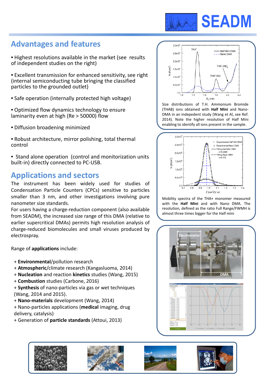

#### **Advantages and features**

- Highest resolutions available in the market (see results of independent studies on the right)
- Excellent transmission for enhanced sensitivity, see right (internal semiconducting tube bringing the classified particles to the grounded outlet)
- Safe operation (internally protected high voltage)
- Optimized flow dynamics technology to ensure laminarity even at high (Re > 50000) flow
- Diffusion broadening minimized
- Robust architecture, mirror polishing, total thermal control
- Stand alone operation (control and monitorization units built-in) directly connected to PC-USB.

#### **Applications and sectors**

The instrument has been widely used for studies of Condensation Particle Counters (CPCs) sensitive to particles smaller than 3 nm, and other investigations involving pure nanometer size standards.

For users having a charge-reduction component (also available from SEADM), the increased size range of this DMA (relative to earlier supercritical DMAs) permits high resolution analysis of charge-reduced biomolecules and small viruses produced by electrospray.

Range of **applications** include:

- + **Environmental**/pollution research
- + **Atmospheric**/climate research (Kangasluoma, 2014)
- + **Nucleation** and reaction **kinetics** studies (Wang, 2015)
- + **Combustion** studies (Carbone, 2016)
- + **Synthesis** of nano-particles via gas or wet techniques (Wang, 2014 and 2015).
- + **Nano-materials** development (Wang, 2014)
- + Nano-particles applications (**medical** imaging, drug delivery, catalysis)
- + Generation of **particle standards** (Attoui, 2013)



Size distributions of T.H. Ammonium Bromide (THAB) ions obtained with **Half Mini** and Nano-DMA in an indepedent study (Wang et Al, see Ref. 2014). Note the higher resolution of Half Mini enabling to identify all ions present in the sample.



Mobility spectra of the THA+ monomer measured with the **Half Mini** and with Nano DMA. The resolution, defined as the ratio Full Range/FWMH is almost three times bigger for the Half mini